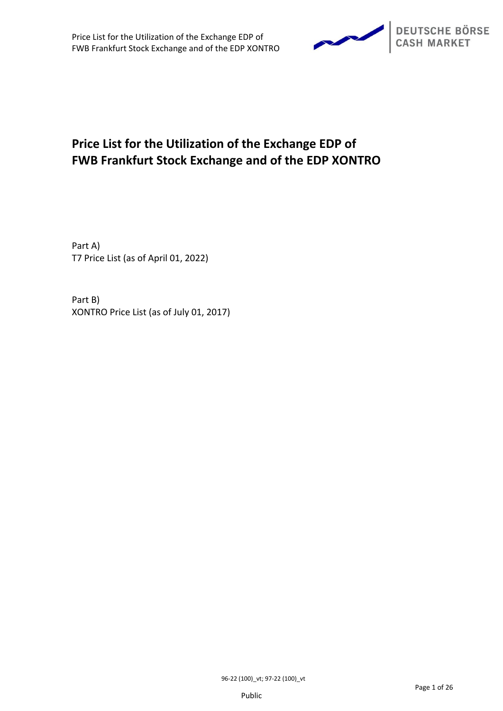

# **Price List for the Utilization of the Exchange EDP of FWB Frankfurt Stock Exchange and of the EDP XONTRO**

Part A) T7 Price List (as of April 01, 2022)

Part B) XONTRO Price List (as of July 01, 2017)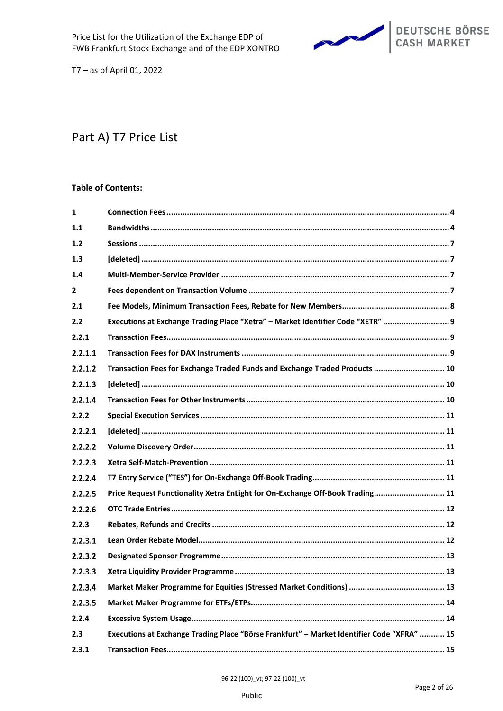

# Part A) T7 Price List

# **Table of Contents:**

| 1            |                                                                                            |
|--------------|--------------------------------------------------------------------------------------------|
| 1.1          |                                                                                            |
| 1.2          |                                                                                            |
| 1.3          |                                                                                            |
| 1.4          |                                                                                            |
| $\mathbf{2}$ |                                                                                            |
| 2.1          |                                                                                            |
| 2.2          | Executions at Exchange Trading Place "Xetra" - Market Identifier Code "XETR"  9            |
| 2.2.1        |                                                                                            |
| 2.2.1.1      |                                                                                            |
| 2.2.1.2      | Transaction Fees for Exchange Traded Funds and Exchange Traded Products  10                |
| 2.2.1.3      |                                                                                            |
| 2.2.1.4      |                                                                                            |
| 2.2.2        |                                                                                            |
| 2.2.2.1      |                                                                                            |
| 2.2.2.2      |                                                                                            |
| 2.2.2.3      |                                                                                            |
| 2.2.2.4      |                                                                                            |
| 2.2.2.5      | Price Request Functionality Xetra EnLight for On-Exchange Off-Book Trading 11              |
| 2.2.2.6      |                                                                                            |
| 2.2.3        |                                                                                            |
| 2.2.3.1      |                                                                                            |
| 2.2.3.2      |                                                                                            |
| 2.2.3.3      |                                                                                            |
| 2.2.3.4      |                                                                                            |
| 2.2.3.5      |                                                                                            |
| 2.2.4        |                                                                                            |
| 2.3          | Executions at Exchange Trading Place "Börse Frankfurt" - Market Identifier Code "XFRA"  15 |
| 2.3.1        |                                                                                            |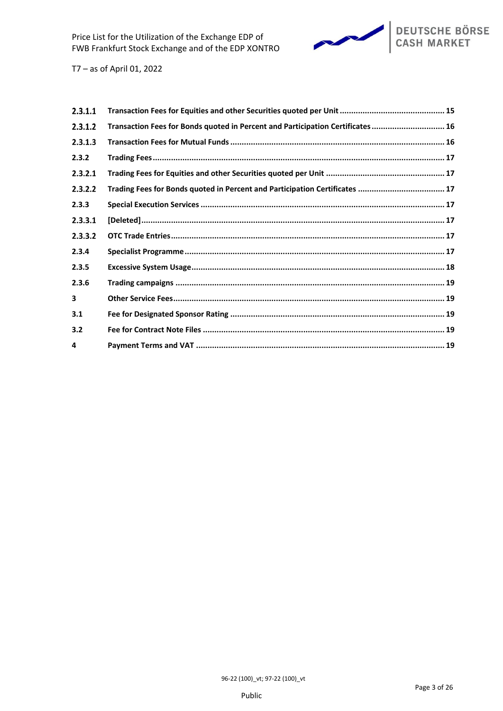

| Transaction Fees for Bonds quoted in Percent and Participation Certificates  16 |
|---------------------------------------------------------------------------------|
|                                                                                 |
|                                                                                 |
|                                                                                 |
| Trading Fees for Bonds quoted in Percent and Participation Certificates  17     |
|                                                                                 |
|                                                                                 |
|                                                                                 |
|                                                                                 |
|                                                                                 |
|                                                                                 |
|                                                                                 |
|                                                                                 |
|                                                                                 |
|                                                                                 |
|                                                                                 |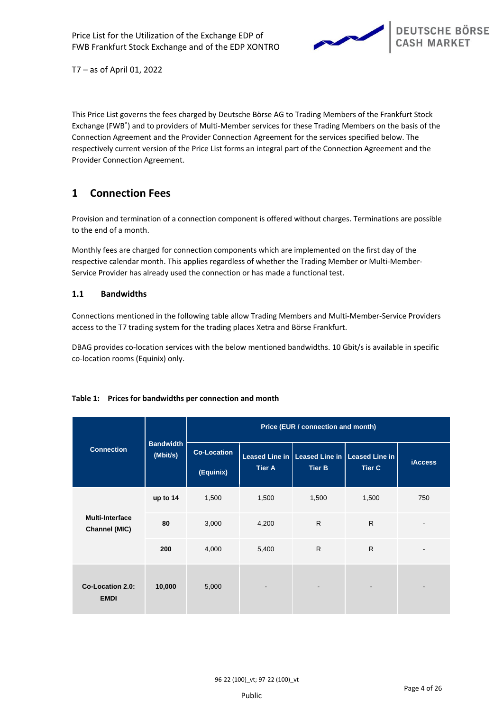

This Price List governs the fees charged by Deutsche Börse AG to Trading Members of the Frankfurt Stock Exchange (FWB®) and to providers of Multi-Member services for these Trading Members on the basis of the Connection Agreement and the Provider Connection Agreement for the services specified below. The respectively current version of the Price List forms an integral part of the Connection Agreement and the Provider Connection Agreement.

# <span id="page-3-0"></span>**1 Connection Fees**

Provision and termination of a connection component is offered without charges. Terminations are possible to the end of a month.

Monthly fees are charged for connection components which are implemented on the first day of the respective calendar month. This applies regardless of whether the Trading Member or Multi-Member-Service Provider has already used the connection or has made a functional test.

# **1.1 Bandwidths**

Connections mentioned in the following table allow Trading Members and Multi-Member-Service Providers access to the T7 trading system for the trading places Xetra and Börse Frankfurt.

DBAG provides co-location services with the below mentioned bandwidths. 10 Gbit/s is available in specific co-location rooms (Equinix) only.

|                                         |                              | Price (EUR / connection and month) |                          |                                                                   |               |                |
|-----------------------------------------|------------------------------|------------------------------------|--------------------------|-------------------------------------------------------------------|---------------|----------------|
| <b>Connection</b>                       | <b>Bandwidth</b><br>(Mbit/s) | <b>Co-Location</b><br>(Equinix)    | <b>Tier A</b>            | Leased Line in   Leased Line in   Leased Line in<br><b>Tier B</b> | <b>Tier C</b> | <b>iAccess</b> |
|                                         | up to 14                     | 1,500                              | 1,500                    | 1,500                                                             | 1,500         | 750            |
| <b>Multi-Interface</b><br>Channel (MIC) | 80                           | 3,000                              | 4,200                    | $\mathsf{R}$                                                      | $\mathsf{R}$  |                |
|                                         | 200                          | 4,000                              | 5,400                    | $\mathsf{R}$                                                      | $\mathsf{R}$  |                |
| <b>Co-Location 2.0:</b><br><b>EMDI</b>  | 10,000                       | 5,000                              | $\overline{\phantom{a}}$ |                                                                   | -             |                |

# **Table 1: Prices for bandwidths per connection and month**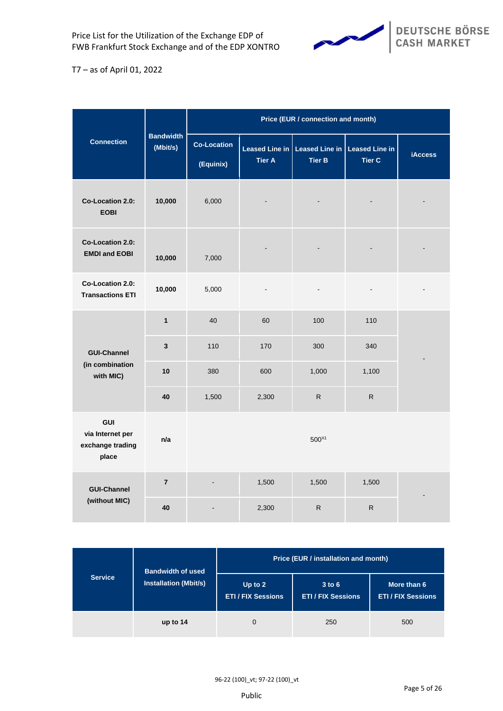

|                                                      |                              | Price (EUR / connection and month) |                                 |                                 |                                        |                |
|------------------------------------------------------|------------------------------|------------------------------------|---------------------------------|---------------------------------|----------------------------------------|----------------|
| <b>Connection</b>                                    | <b>Bandwidth</b><br>(Mbit/s) | <b>Co-Location</b><br>(Equinix)    | Leased Line in<br><b>Tier A</b> | Leased Line in<br><b>Tier B</b> | <b>Leased Line in</b><br><b>Tier C</b> | <b>iAccess</b> |
| <b>Co-Location 2.0:</b><br><b>EOBI</b>               | 10,000                       | 6,000                              |                                 |                                 |                                        |                |
| Co-Location 2.0:<br><b>EMDI and EOBI</b>             | 10,000                       | 7,000                              |                                 |                                 |                                        |                |
| Co-Location 2.0:<br><b>Transactions ETI</b>          | 10,000                       | 5,000                              | $\blacksquare$                  | $\blacksquare$                  | $\blacksquare$                         |                |
|                                                      | $\mathbf{1}$                 | 40                                 | 60                              | 100                             | 110                                    |                |
| <b>GUI-Channel</b>                                   | 3                            | 110                                | 170                             | 300                             | 340                                    |                |
| (in combination<br>with MIC)                         | 10                           | 380                                | 600                             | 1,000                           | 1,100                                  |                |
|                                                      | 40                           | 1,500                              | 2,300                           | $\mathsf{R}$                    | $\mathsf R$                            |                |
| GUI<br>via Internet per<br>exchange trading<br>place | n/a                          | $500^{X1}$                         |                                 |                                 |                                        |                |
| <b>GUI-Channel</b>                                   | $\overline{7}$               |                                    | 1,500                           | 1,500                           | 1,500                                  |                |
| (without MIC)                                        | 40                           |                                    | 2,300                           | $\mathsf{R}$                    | R                                      |                |

|                | <b>Bandwidth of used</b>     | Price (EUR / installation and month)   |                                         |                                          |  |
|----------------|------------------------------|----------------------------------------|-----------------------------------------|------------------------------------------|--|
| <b>Service</b> | <b>Installation (Mbit/s)</b> | Up to $2$<br><b>ETI / FIX Sessions</b> | $3$ to $6$<br><b>ETI / FIX Sessions</b> | More than 6<br><b>ETI / FIX Sessions</b> |  |
|                | up to $14$                   | 0                                      | 250                                     | 500                                      |  |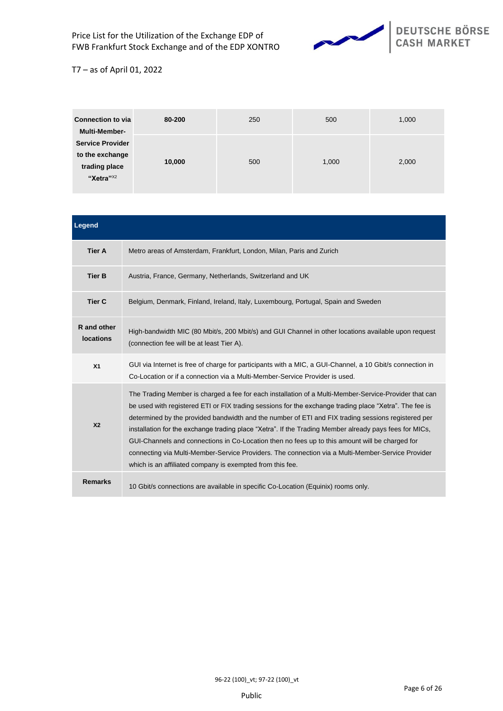

| <b>Connection to via</b><br><b>Multi-Member-</b>                                     | 80-200 | 250 | 500   | 1,000 |
|--------------------------------------------------------------------------------------|--------|-----|-------|-------|
| <b>Service Provider</b><br>to the exchange<br>trading place<br>"Xetra" <sup>X2</sup> | 10,000 | 500 | 1,000 | 2,000 |

| Legend                          |                                                                                                                                                                                                                                                                                                                                                                                                                                                                                                                                                                                                                                                                                                     |
|---------------------------------|-----------------------------------------------------------------------------------------------------------------------------------------------------------------------------------------------------------------------------------------------------------------------------------------------------------------------------------------------------------------------------------------------------------------------------------------------------------------------------------------------------------------------------------------------------------------------------------------------------------------------------------------------------------------------------------------------------|
| <b>Tier A</b>                   | Metro areas of Amsterdam, Frankfurt, London, Milan, Paris and Zurich                                                                                                                                                                                                                                                                                                                                                                                                                                                                                                                                                                                                                                |
| <b>Tier B</b>                   | Austria, France, Germany, Netherlands, Switzerland and UK                                                                                                                                                                                                                                                                                                                                                                                                                                                                                                                                                                                                                                           |
| <b>Tier C</b>                   | Belgium, Denmark, Finland, Ireland, Italy, Luxembourg, Portugal, Spain and Sweden                                                                                                                                                                                                                                                                                                                                                                                                                                                                                                                                                                                                                   |
| R and other<br><b>locations</b> | High-bandwidth MIC (80 Mbit/s, 200 Mbit/s) and GUI Channel in other locations available upon request<br>(connection fee will be at least Tier A).                                                                                                                                                                                                                                                                                                                                                                                                                                                                                                                                                   |
| X <sub>1</sub>                  | GUI via Internet is free of charge for participants with a MIC, a GUI-Channel, a 10 Gbit/s connection in<br>Co-Location or if a connection via a Multi-Member-Service Provider is used.                                                                                                                                                                                                                                                                                                                                                                                                                                                                                                             |
| X <sub>2</sub>                  | The Trading Member is charged a fee for each installation of a Multi-Member-Service-Provider that can<br>be used with registered ETI or FIX trading sessions for the exchange trading place "Xetra". The fee is<br>determined by the provided bandwidth and the number of ETI and FIX trading sessions registered per<br>installation for the exchange trading place "Xetra". If the Trading Member already pays fees for MICs,<br>GUI-Channels and connections in Co-Location then no fees up to this amount will be charged for<br>connecting via Multi-Member-Service Providers. The connection via a Multi-Member-Service Provider<br>which is an affiliated company is exempted from this fee. |
| <b>Remarks</b>                  | 10 Gbit/s connections are available in specific Co-Location (Equinix) rooms only.                                                                                                                                                                                                                                                                                                                                                                                                                                                                                                                                                                                                                   |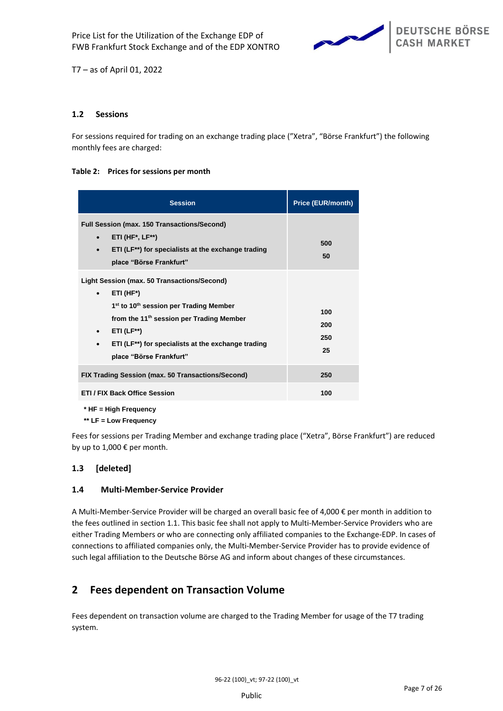

# **1.2 Sessions**

For sessions required for trading on an exchange trading place ("Xetra", "Börse Frankfurt") the following monthly fees are charged:

### **Table 2: Prices for sessions per month**

| <b>Session</b>                                                                                                                                                                                                                                                                                                                          | <b>Price (EUR/month)</b> |
|-----------------------------------------------------------------------------------------------------------------------------------------------------------------------------------------------------------------------------------------------------------------------------------------------------------------------------------------|--------------------------|
| <b>Full Session (max. 150 Transactions/Second)</b><br>$ETI$ (HF*, LF**)<br>$\bullet$<br>ETI (LF <sup>**</sup> ) for specialists at the exchange trading<br>$\bullet$<br>place "Börse Frankfurt"                                                                                                                                         | 500<br>50                |
| Light Session (max. 50 Transactions/Second)<br>ETI (HF*)<br>$\bullet$<br>1 <sup>st</sup> to 10 <sup>th</sup> session per Trading Member<br>from the 11 <sup>th</sup> session per Trading Member<br>$ETI$ (LF**)<br>$\bullet$<br>ETI (LF <sup>**</sup> ) for specialists at the exchange trading<br>$\bullet$<br>place "Börse Frankfurt" | 100<br>200<br>250<br>25  |
| FIX Trading Session (max. 50 Transactions/Second)                                                                                                                                                                                                                                                                                       | 250                      |
| ETI / FIX Back Office Session                                                                                                                                                                                                                                                                                                           | 100                      |

**\* HF = High Frequency**

**\*\* LF = Low Frequency**

Fees for sessions per Trading Member and exchange trading place ("Xetra", Börse Frankfurt") are reduced by up to 1,000 € per month.

# **1.3 [deleted]**

# **1.4 Multi-Member-Service Provider**

A Multi-Member-Service Provider will be charged an overall basic fee of 4,000 € per month in addition to the fees outlined in section 1.1. This basic fee shall not apply to Multi-Member-Service Providers who are either Trading Members or who are connecting only affiliated companies to the Exchange-EDP. In cases of connections to affiliated companies only, the Multi-Member-Service Provider has to provide evidence of such legal affiliation to the Deutsche Börse AG and inform about changes of these circumstances.

# <span id="page-6-0"></span>**2 Fees dependent on Transaction Volume**

Fees dependent on transaction volume are charged to the Trading Member for usage of the T7 trading system.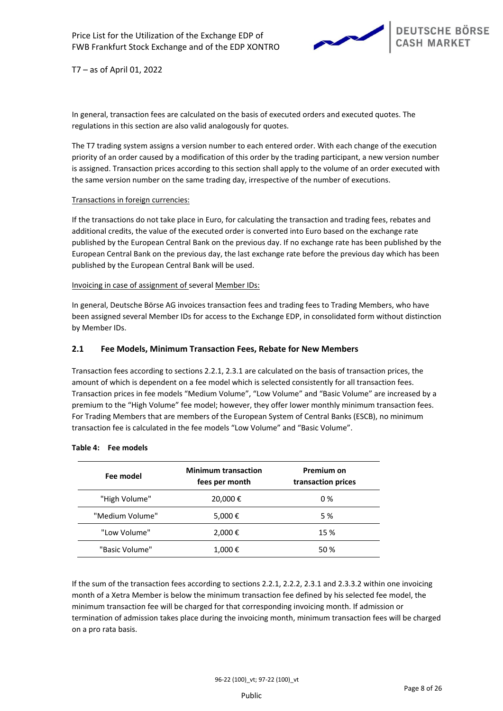

In general, transaction fees are calculated on the basis of executed orders and executed quotes. The regulations in this section are also valid analogously for quotes.

The T7 trading system assigns a version number to each entered order. With each change of the execution priority of an order caused by a modification of this order by the trading participant, a new version number is assigned. Transaction prices according to this section shall apply to the volume of an order executed with the same version number on the same trading day, irrespective of the number of executions.

### Transactions in foreign currencies:

If the transactions do not take place in Euro, for calculating the transaction and trading fees, rebates and additional credits, the value of the executed order is converted into Euro based on the exchange rate published by the European Central Bank on the previous day. If no exchange rate has been published by the European Central Bank on the previous day, the last exchange rate before the previous day which has been published by the European Central Bank will be used.

### Invoicing in case of assignment of several Member IDs:

In general, Deutsche Börse AG invoices transaction fees and trading fees to Trading Members, who have been assigned several Member IDs for access to the Exchange EDP, in consolidated form without distinction by Member IDs.

# <span id="page-7-0"></span>**2.1 Fee Models, Minimum Transaction Fees, Rebate for New Members**

Transaction fees according to sections [2.2.1,](#page-8-0) [2.3.1](#page-14-0) are calculated on the basis of transaction prices, the amount of which is dependent on a fee model which is selected consistently for all transaction fees. Transaction prices in fee models "Medium Volume", "Low Volume" and "Basic Volume" are increased by a premium to the "High Volume" fee model; however, they offer lower monthly minimum transaction fees. For Trading Members that are members of the European System of Central Banks (ESCB), no minimum transaction fee is calculated in the fee models "Low Volume" and "Basic Volume".

| Fee model       | <b>Minimum transaction</b><br>fees per month | Premium on<br>transaction prices |
|-----------------|----------------------------------------------|----------------------------------|
| "High Volume"   | 20,000€                                      | $0\%$                            |
| "Medium Volume" | 5,000€                                       | 5 %                              |
| "Low Volume"    | 2,000€                                       | 15 %                             |
| "Basic Volume"  | 1,000€                                       | 50 %                             |

### **Table 4: Fee models**

If the sum of the transaction fees according to sections [2.2.1,](#page-8-0) [2.2.2,](#page-10-0) [2.3.1](#page-14-0) and [2.3.3.2](#page-16-0) within one invoicing month of a Xetra Member is below the minimum transaction fee defined by his selected fee model, the minimum transaction fee will be charged for that corresponding invoicing month. If admission or termination of admission takes place during the invoicing month, minimum transaction fees will be charged on a pro rata basis.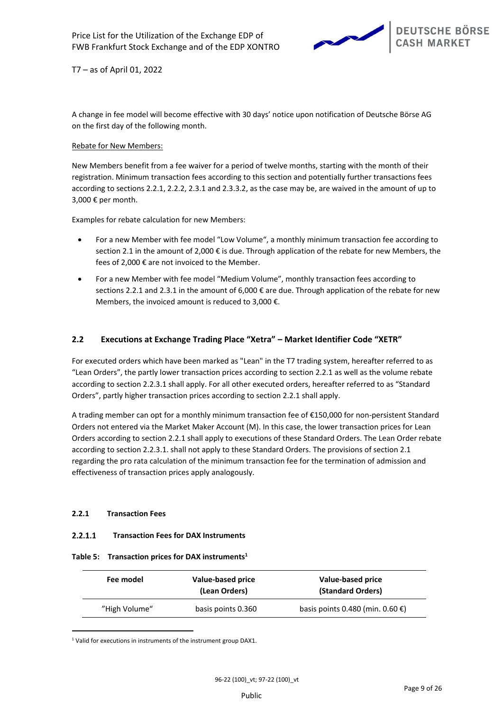

A change in fee model will become effective with 30 days' notice upon notification of Deutsche Börse AG on the first day of the following month.

# Rebate for New Members:

New Members benefit from a fee waiver for a period of twelve months, starting with the month of their registration. Minimum transaction fees according to this section and potentially further transactions fees according to section[s 2.2.1,](#page-8-0) [2.2.2,](#page-10-0) [2.3.1](#page-14-0) an[d 2.3.3.2,](#page-16-0) as the case may be, are waived in the amount of up to 3,000 € per month.

Examples for rebate calculation for new Members:

- For a new Member with fee model "Low Volume", a monthly minimum transaction fee according to section [2.1](#page-7-0) in the amount of 2,000 € is due. Through application of the rebate for new Members, the fees of 2,000 € are not invoiced to the Member.
- For a new Member with fee model "Medium Volume", monthly transaction fees according to sections [2.2.1](#page-8-0) and [2.3.1](#page-14-0) in the amount of 6,000 € are due. Through application of the rebate for new Members, the invoiced amount is reduced to 3,000  $\epsilon$ .

# **2.2 Executions at Exchange Trading Place "Xetra" – Market Identifier Code "XETR"**

For executed orders which have been marked as "Lean" in the T7 trading system, hereafter referred to as "Lean Orders", the partly lower transaction prices according to sectio[n 2.2.1](#page-8-0) as well as the volume rebate according to sectio[n 2.2.3.1](#page-11-0) shall apply. For all other executed orders, hereafter referred to as "Standard Orders", partly higher transaction prices according to section [2.2.1](#page-8-0) shall apply.

A trading member can opt for a monthly minimum transaction fee of €150,000 for non-persistent Standard Orders not entered via the Market Maker Account (M). In this case, the lower transaction prices for Lean Orders according to sectio[n 2.2.1](#page-8-0) shall apply to executions of these Standard Orders. The Lean Order rebate according to sectio[n 2.2.3.1.](#page-11-0) shall not apply to these Standard Orders. The provisions of sectio[n 2.1](#page-7-0) regarding the pro rata calculation of the minimum transaction fee for the termination of admission and effectiveness of transaction prices apply analogously.

# <span id="page-8-0"></span>**2.2.1 Transaction Fees**

#### $2.2.1.1$ **Transaction Fees for DAX Instruments**

# **Table 5: Transaction prices for DAX instruments<sup>1</sup>**

| Fee model     | Value-based price<br>(Lean Orders) | Value-based price<br>(Standard Orders) |
|---------------|------------------------------------|----------------------------------------|
| "High Volume" | basis points 0.360                 | basis points 0.480 (min. $0.60 \in$ )  |

<sup>1</sup> Valid for executions in instruments of the instrument group DAX1.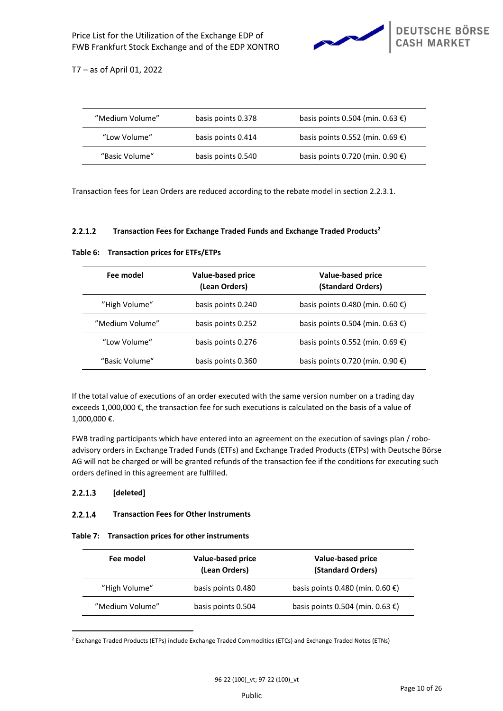

| "Medium Volume" | basis points 0.378 | basis points 0.504 (min. 0.63 €) |
|-----------------|--------------------|----------------------------------|
| "Low Volume"    | basis points 0.414 | basis points 0.552 (min. 0.69 €) |
| "Basic Volume"  | basis points 0.540 | basis points 0.720 (min. 0.90 €) |

Transaction fees for Lean Orders are reduced according to the rebate model in section [2.2.3.1.](#page-11-0)

#### $2.2.1.2$ **Transaction Fees for Exchange Traded Funds and Exchange Traded Products<sup>2</sup>**

|  | Table 6: Transaction prices for ETFs/ETPs |  |  |  |  |
|--|-------------------------------------------|--|--|--|--|
|--|-------------------------------------------|--|--|--|--|

| Fee model                           | Value-based price<br>(Lean Orders) | Value-based price<br>(Standard Orders)     |
|-------------------------------------|------------------------------------|--------------------------------------------|
| "High Volume"<br>basis points 0.240 |                                    | basis points 0.480 (min. 0.60 $\epsilon$ ) |
| "Medium Volume"                     | basis points 0.252                 | basis points 0.504 (min. 0.63 €)           |
| "Low Volume"                        | basis points 0.276                 | basis points 0.552 (min. 0.69 $\epsilon$ ) |
| "Basic Volume"                      | basis points 0.360                 | basis points 0.720 (min. 0.90 €)           |

If the total value of executions of an order executed with the same version number on a trading day exceeds 1,000,000 €, the transaction fee for such executions is calculated on the basis of a value of 1,000,000 €.

FWB trading participants which have entered into an agreement on the execution of savings plan / roboadvisory orders in Exchange Traded Funds (ETFs) and Exchange Traded Products (ETPs) with Deutsche Börse AG will not be charged or will be granted refunds of the transaction fee if the conditions for executing such orders defined in this agreement are fulfilled.

#### $2.2.1.3$ **[deleted]**

#### $2.2.1.4$ **Transaction Fees for Other Instruments**

|  |  |  | Table 7: Transaction prices for other instruments |
|--|--|--|---------------------------------------------------|
|--|--|--|---------------------------------------------------|

| Fee model       | Value-based price<br>(Lean Orders) | Value-based price<br>(Standard Orders)     |
|-----------------|------------------------------------|--------------------------------------------|
| "High Volume"   | basis points 0.480                 | basis points 0.480 (min. $0.60 \in$ )      |
| "Medium Volume" | basis points 0.504                 | basis points 0.504 (min. 0.63 $\epsilon$ ) |

<sup>2</sup> Exchange Traded Products (ETPs) include Exchange Traded Commodities (ETCs) and Exchange Traded Notes (ETNs)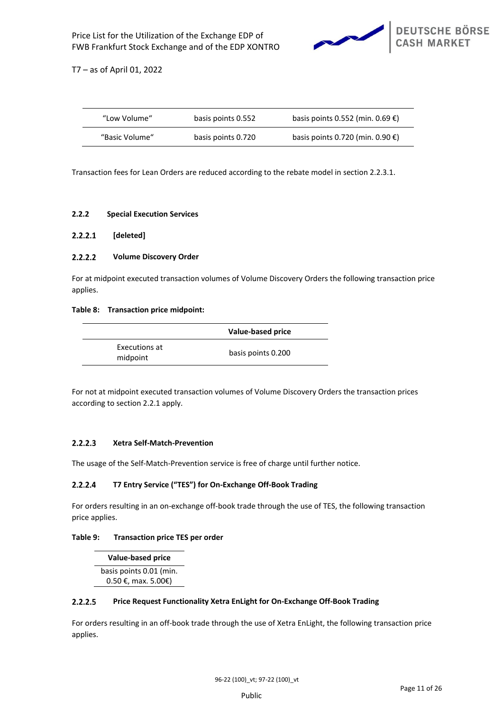

| "Low Volume"   | basis points 0.552 | basis points 0.552 (min. 0.69 $\epsilon$ ) |
|----------------|--------------------|--------------------------------------------|
| "Basic Volume" | basis points 0.720 | basis points 0.720 (min. $0.90 \in$ )      |

Transaction fees for Lean Orders are reduced according to the rebate model in section [2.2.3.1.](#page-11-0)

# <span id="page-10-0"></span>**2.2.2 Special Execution Services**

#### $2.2.2.1$ **[deleted]**

#### $2.2.2.2$ **Volume Discovery Order**

For at midpoint executed transaction volumes of Volume Discovery Orders the following transaction price applies.

# **Table 8: Transaction price midpoint:**

|                           | Value-based price  |
|---------------------------|--------------------|
| Executions at<br>midpoint | basis points 0.200 |

For not at midpoint executed transaction volumes of Volume Discovery Orders the transaction prices according to sectio[n 2.2.1](#page-8-0) apply.

#### $2.2.2.3$ **Xetra Self-Match-Prevention**

The usage of the Self-Match-Prevention service is free of charge until further notice.

#### $2.2.2.4$ **T7 Entry Service ("TES") for On-Exchange Off-Book Trading**

For orders resulting in an on-exchange off-book trade through the use of TES, the following transaction price applies.

# **Table 9: Transaction price TES per order**

**Value-based price** basis points 0.01 (min. 0.50 €, max. 5.00€)

#### $2.2.2.5$ **Price Request Functionality Xetra EnLight for On-Exchange Off-Book Trading**

For orders resulting in an off-book trade through the use of Xetra EnLight, the following transaction price applies.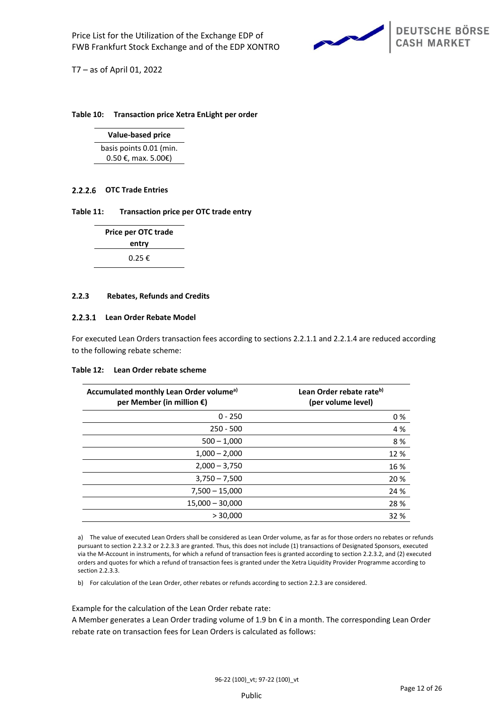

### **Table 10: Transaction price Xetra EnLight per order**

**Value-based price** basis points 0.01 (min. 0.50 €, max. 5.00€)

# **OTC Trade Entries**

### **Table 11: Transaction price per OTC trade entry**

| Price per OTC trade      |  |  |  |
|--------------------------|--|--|--|
| entry                    |  |  |  |
| $0.25 \text{ } \epsilon$ |  |  |  |

### <span id="page-11-1"></span>**2.2.3 Rebates, Refunds and Credits**

### <span id="page-11-0"></span>**Lean Order Rebate Model**

For executed Lean Orders transaction fees according to sections 2.2.1.1 and 2.2.1.4 are reduced according to the following rebate scheme:

### **Table 12: Lean Order rebate scheme**

| Accumulated monthly Lean Order volume <sup>a)</sup><br>per Member (in million $\epsilon$ ) | Lean Order rebate rate <sup>b)</sup><br>(per volume level) |
|--------------------------------------------------------------------------------------------|------------------------------------------------------------|
| $0 - 250$                                                                                  | 0%                                                         |
| $250 - 500$                                                                                | 4 %                                                        |
| $500 - 1,000$                                                                              | 8%                                                         |
| $1,000 - 2,000$                                                                            | 12 %                                                       |
| $2,000 - 3,750$                                                                            | 16 %                                                       |
| $3,750 - 7,500$                                                                            | 20 %                                                       |
| $7,500 - 15,000$                                                                           | 24 %                                                       |
| $15,000 - 30,000$                                                                          | 28 %                                                       |
| > 30,000                                                                                   | 32 %                                                       |
|                                                                                            |                                                            |

a) The value of executed Lean Orders shall be considered as Lean Order volume, as far as for those orders no rebates or refunds pursuant to sectio[n 2.2.3.2](#page-12-0) o[r 2.2.3.3](#page-12-1) are granted. Thus, this does not include (1) transactions of Designated Sponsors, executed via the M-Account in instruments, for which a refund of transaction fees is granted according to sectio[n 2.2.3.2,](#page-12-0) and (2) executed orders and quotes for which a refund of transaction fees is granted under the Xetra Liquidity Provider Programme according to section 2.2.3.3.

b) For calculation of the Lean Order, other rebates or refunds according to section [2.2.3](#page-11-1) are considered.

Example for the calculation of the Lean Order rebate rate:

A Member generates a Lean Order trading volume of 1.9 bn € in a month. The corresponding Lean Order rebate rate on transaction fees for Lean Orders is calculated as follows: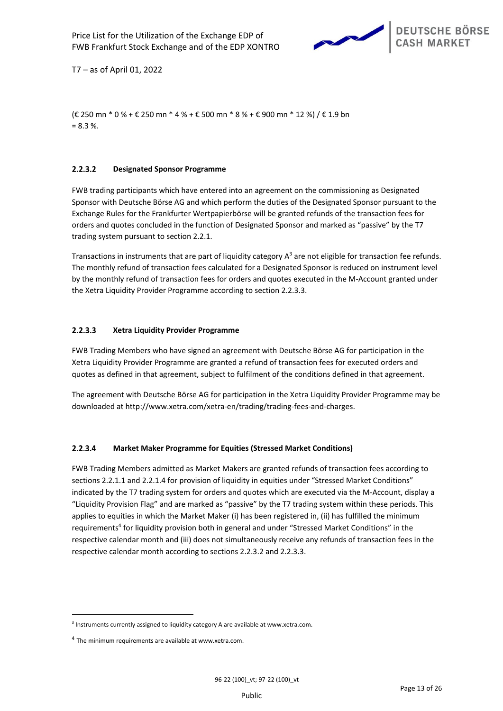

(€ 250 mn \* 0 % + € 250 mn \* 4 % + € 500 mn \* 8 % + € 900 mn \* 12 %) / € 1.9 bn  $= 8.3 %$ 

#### <span id="page-12-0"></span> $2.2.3.2$ **Designated Sponsor Programme**

FWB trading participants which have entered into an agreement on the commissioning as Designated Sponsor with Deutsche Börse AG and which perform the duties of the Designated Sponsor pursuant to the Exchange Rules for the Frankfurter Wertpapierbörse will be granted refunds of the transaction fees for orders and quotes concluded in the function of Designated Sponsor and marked as "passive" by the T7 trading system pursuant to section 2.2.1.

Transactions in instruments that are part of liquidity category  $A<sup>3</sup>$  are not eligible for transaction fee refunds. The monthly refund of transaction fees calculated for a Designated Sponsor is reduced on instrument level by the monthly refund of transaction fees for orders and quotes executed in the M-Account granted under the Xetra Liquidity Provider Programme according to section [2.2.3.3.](#page-12-1)

#### <span id="page-12-1"></span> $2.2.3.3$ **Xetra Liquidity Provider Programme**

FWB Trading Members who have signed an agreement with Deutsche Börse AG for participation in the Xetra Liquidity Provider Programme are granted a refund of transaction fees for executed orders and quotes as defined in that agreement, subject to fulfilment of the conditions defined in that agreement.

The agreement with Deutsche Börse AG for participation in the Xetra Liquidity Provider Programme may be downloaded at http://www.xetra.com/xetra-en/trading/trading-fees-and-charges.

#### $2.2.3.4$ **Market Maker Programme for Equities (Stressed Market Conditions)**

FWB Trading Members admitted as Market Makers are granted refunds of transaction fees according to sections 2.2.1.1 and 2.2.1.4 for provision of liquidity in equities under "Stressed Market Conditions" indicated by the T7 trading system for orders and quotes which are executed via the M-Account, display a "Liquidity Provision Flag" and are marked as "passive" by the T7 trading system within these periods. This applies to equities in which the Market Maker (i) has been registered in, (ii) has fulfilled the minimum requirements<sup>4</sup> for liquidity provision both in general and under "Stressed Market Conditions" in the respective calendar month and (iii) does not simultaneously receive any refunds of transaction fees in the respective calendar month according to sections 2.2.3.2 and 2.2.3.3.

<sup>&</sup>lt;sup>3</sup> Instruments currently assigned to liquidity category A are available at www.xetra.com.

<sup>&</sup>lt;sup>4</sup> The minimum requirements are available at www.xetra.com.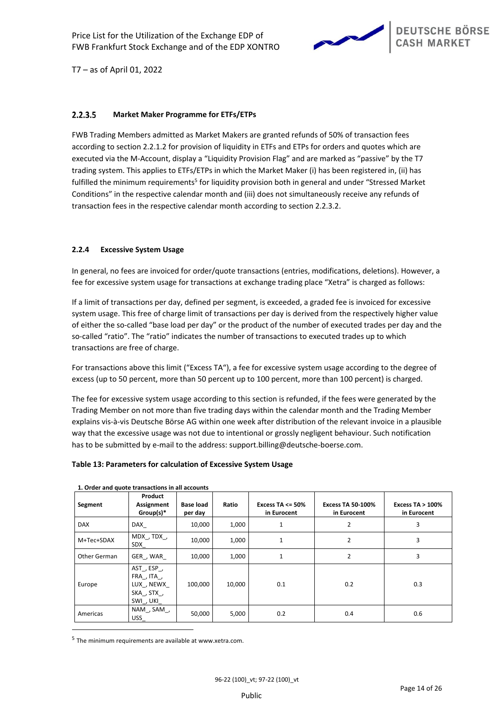

#### $2.2.3.5$ **Market Maker Programme for ETFs/ETPs**

FWB Trading Members admitted as Market Makers are granted refunds of 50% of transaction fees according to section 2.2.1.2 for provision of liquidity in ETFs and ETPs for orders and quotes which are executed via the M-Account, display a "Liquidity Provision Flag" and are marked as "passive" by the T7 trading system. This applies to ETFs/ETPs in which the Market Maker (i) has been registered in, (ii) has fulfilled the minimum requirements<sup>5</sup> for liquidity provision both in general and under "Stressed Market Conditions" in the respective calendar month and (iii) does not simultaneously receive any refunds of transaction fees in the respective calendar month according to section 2.2.3.2.

# **2.2.4 Excessive System Usage**

In general, no fees are invoiced for order/quote transactions (entries, modifications, deletions). However, a fee for excessive system usage for transactions at exchange trading place "Xetra" is charged as follows:

If a limit of transactions per day, defined per segment, is exceeded, a graded fee is invoiced for excessive system usage. This free of charge limit of transactions per day is derived from the respectively higher value of either the so-called "base load per day" or the product of the number of executed trades per day and the so-called "ratio". The "ratio" indicates the number of transactions to executed trades up to which transactions are free of charge.

For transactions above this limit ("Excess TA"), a fee for excessive system usage according to the degree of excess (up to 50 percent, more than 50 percent up to 100 percent, more than 100 percent) is charged.

The fee for excessive system usage according to this section is refunded, if the fees were generated by the Trading Member on not more than five trading days within the calendar month and the Trading Member explains vis-à-vis Deutsche Börse AG within one week after distribution of the relevant invoice in a plausible way that the excessive usage was not due to intentional or grossly negligent behaviour. Such notification has to be submitted by e-mail to the address: support.billing@deutsche-boerse.com.

### **Table 13: Parameters for calculation of Excessive System Usage**

| Segment      | Product<br><b>Assignment</b><br>$Group(s)^*$                 | <b>Base load</b><br>per day | Ratio  | Excess TA $\leq$ 50%<br>in Eurocent | <b>Excess TA 50-100%</b><br>in Eurocent | Excess $TA > 100\%$<br>in Eurocent |
|--------------|--------------------------------------------------------------|-----------------------------|--------|-------------------------------------|-----------------------------------------|------------------------------------|
| <b>DAX</b>   | DAX                                                          | 10,000                      | 1,000  | 1                                   | 2                                       | 3                                  |
| M+Tec+SDAX   | MDX, TDX,<br>SDX                                             | 10,000                      | 1,000  | $\mathbf{1}$                        | $\overline{2}$                          | 3                                  |
| Other German | GER, WAR                                                     | 10,000                      | 1,000  | 1                                   | 2                                       | 3                                  |
| Europe       | AST, ESP,<br>FRA, ITA,<br>LUX, NEWX<br>SKA, STX,<br>SWI, UKI | 100,000                     | 10,000 | 0.1                                 | 0.2                                     | 0.3                                |
| Americas     | NAM, SAM,<br><b>USS</b>                                      | 50,000                      | 5,000  | 0.2                                 | 0.4                                     | 0.6                                |

### **1. Order and quote transactions in all accounts**

5 The minimum requirements are available at www.xetra.com.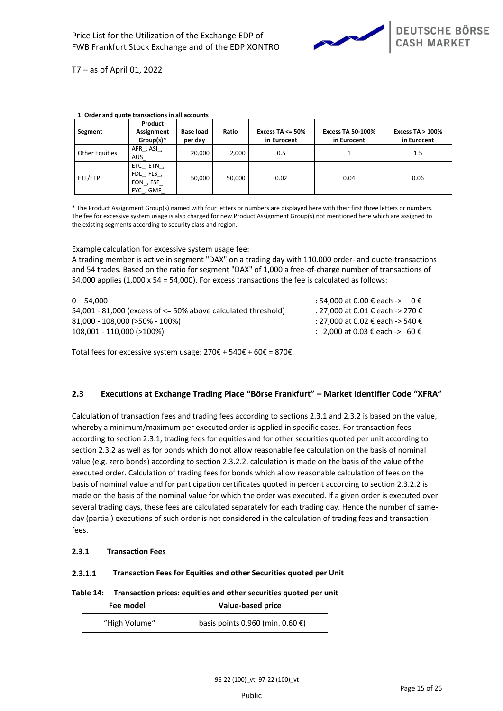

|                       | Product                                               |                             |        |                                     |                                         |                                    |
|-----------------------|-------------------------------------------------------|-----------------------------|--------|-------------------------------------|-----------------------------------------|------------------------------------|
| Segment               | <b>Assignment</b><br>$Group(s)*$                      | <b>Base load</b><br>per day | Ratio  | Excess TA $\leq$ 50%<br>in Eurocent | <b>Excess TA 50-100%</b><br>in Eurocent | Excess $TA > 100\%$<br>in Eurocent |
| <b>Other Equities</b> | AFR, ASI,<br>AUS                                      | 20.000                      | 2,000  | 0.5                                 |                                         | 1.5                                |
| ETF/ETP               | ETC, ETN,<br>$FDL$ , $FLS$ ,<br>FON , FSF<br>FYC, GMF | 50.000                      | 50.000 | 0.02                                | 0.04                                    | 0.06                               |

### **1. Order and quote transactions in all accounts**

\* The Product Assignment Group(s) named with four letters or numbers are displayed here with their first three letters or numbers. The fee for excessive system usage is also charged for new Product Assignment Group(s) not mentioned here which are assigned to the existing segments according to security class and region.

Example calculation for excessive system usage fee:

A trading member is active in segment "DAX" on a trading day with 110.000 order- and quote-transactions and 54 trades. Based on the ratio for segment "DAX" of 1,000 a free-of-charge number of transactions of 54,000 applies (1,000 x 54 = 54,000). For excess transactions the fee is calculated as follows:

| $0 - 54.000$                                                      | : 54,000 at 0.00 € each -> 0 €   |
|-------------------------------------------------------------------|----------------------------------|
| 54,001 - 81,000 (excess of $\leq$ 50% above calculated threshold) | : 27,000 at 0.01 € each -> 270 € |
| 81,000 - 108,000 (>50% - 100%)                                    | : 27,000 at 0.02 € each -> 540 € |
| 108,001 - 110,000 (>100%)                                         | : 2.000 at 0.03 € each -> 60 €   |

Total fees for excessive system usage:  $270€ + 540€ + 60€ = 870€$ .

# **2.3 Executions at Exchange Trading Place "Börse Frankfurt" – Market Identifier Code "XFRA"**

Calculation of transaction fees and trading fees according to sections [2.3.1](#page-14-0) and [2.3.2](#page-16-1) is based on the value, whereby a minimum/maximum per executed order is applied in specific cases. For transaction fees according to section [2.3.1,](#page-14-0) trading fees for equities and for other securities quoted per unit according to section [2.3.2](#page-16-1) as well as for bonds which do not allow reasonable fee calculation on the basis of nominal value (e.g. zero bonds) according to section [2.3.2.2,](#page-16-2) calculation is made on the basis of the value of the executed order. Calculation of trading fees for bonds which allow reasonable calculation of fees on the basis of nominal value and for participation certificates quoted in percent according to section [2.3.2.2](#page-16-2) is made on the basis of the nominal value for which the order was executed. If a given order is executed over several trading days, these fees are calculated separately for each trading day. Hence the number of sameday (partial) executions of such order is not considered in the calculation of trading fees and transaction fees.

# <span id="page-14-0"></span>**2.3.1 Transaction Fees**

#### $2.3.1.1$ **Transaction Fees for Equities and other Securities quoted per Unit**

### **Table 14: Transaction prices: equities and other securities quoted per unit**

| Fee model     | Value-based price                |
|---------------|----------------------------------|
| "High Volume" | basis points 0.960 (min. 0.60 €) |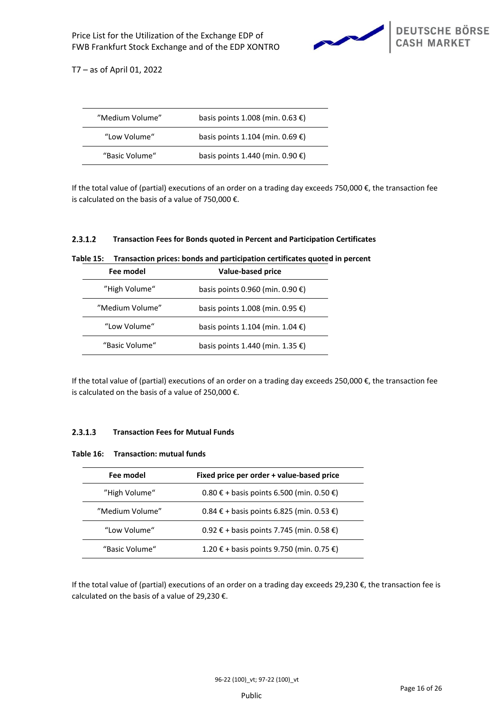

| "Medium Volume" | basis points 1.008 (min. 0.63 €)           |
|-----------------|--------------------------------------------|
| "Low Volume"    | basis points 1.104 (min. 0.69 $\epsilon$ ) |
| "Basic Volume"  | basis points 1.440 (min. $0.90 \in$ )      |

If the total value of (partial) executions of an order on a trading day exceeds 750,000 €, the transaction fee is calculated on the basis of a value of 750,000 €.

#### $2.3.1.2$ **Transaction Fees for Bonds quoted in Percent and Participation Certificates**

| Fee model       | Value-based price                          |
|-----------------|--------------------------------------------|
| "High Volume"   | basis points 0.960 (min. 0.90 $\epsilon$ ) |
| "Medium Volume" | basis points 1.008 (min. 0.95 €)           |
| "Low Volume"    | basis points 1.104 (min. 1.04 $\epsilon$ ) |
| "Basic Volume"  | basis points 1.440 (min. 1.35 €)           |

**Table 15: Transaction prices: bonds and participation certificates quoted in percent**

If the total value of (partial) executions of an order on a trading day exceeds 250,000  $\epsilon$ , the transaction fee is calculated on the basis of a value of 250,000  $\epsilon$ .

#### $2.3.1.3$ **Transaction Fees for Mutual Funds**

| Table 16: | <b>Transaction: mutual funds</b> |  |  |
|-----------|----------------------------------|--|--|
|-----------|----------------------------------|--|--|

| Fee model       | Fixed price per order + value-based price              |
|-----------------|--------------------------------------------------------|
| "High Volume"   | $0.80 \text{ } \in$ + basis points 6.500 (min. 0.50 €) |
| "Medium Volume" | $0.84 \text{ } \in$ + basis points 6.825 (min. 0.53 €) |
| "Low Volume"    | 0.92 € + basis points 7.745 (min. 0.58 €)              |
| "Basic Volume"  | 1.20 € + basis points 9.750 (min. 0.75 €)              |

If the total value of (partial) executions of an order on a trading day exceeds 29,230  $\epsilon$ , the transaction fee is calculated on the basis of a value of 29,230 €.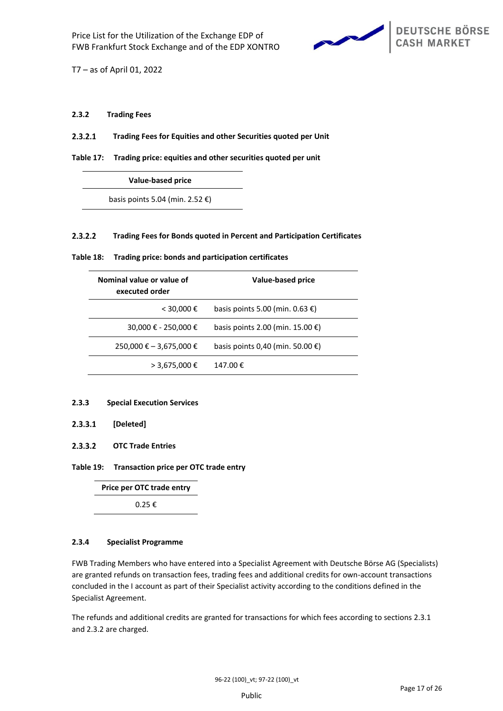

## <span id="page-16-1"></span>**2.3.2 Trading Fees**

 $2.3.2.1$ **Trading Fees for Equities and other Securities quoted per Unit**

**Table 17: Trading price: equities and other securities quoted per unit**

**Value-based price**

basis points 5.04 (min. 2.52  $\epsilon$ )

#### <span id="page-16-2"></span> $2.3.2.2$ **Trading Fees for Bonds quoted in Percent and Participation Certificates**

| Nominal value or value of<br>executed order | <b>Value-based price</b>                   |
|---------------------------------------------|--------------------------------------------|
| $<$ 30,000 €                                | basis points 5.00 (min. 0.63 $\epsilon$ )  |
| 30,000 € - 250,000 €                        | basis points 2.00 (min. 15.00 $\epsilon$ ) |
| 250,000 € - 3,675,000 €                     | basis points 0,40 (min. 50.00 $\epsilon$ ) |
| $> 3,675,000 \in$                           | 147.00€                                    |

**Table 18: Trading price: bonds and participation certificates**

### <span id="page-16-3"></span>**2.3.3 Special Execution Services**

#### $2.3.3.1$ **[Deleted]**

<span id="page-16-0"></span> $2.3.3.2$ **OTC Trade Entries**

## **Table 19: Transaction price per OTC trade entry**

**Price per OTC trade entry** 0.25 €

# **2.3.4 Specialist Programme**

FWB Trading Members who have entered into a Specialist Agreement with Deutsche Börse AG (Specialists) are granted refunds on transaction fees, trading fees and additional credits for own-account transactions concluded in the I account as part of their Specialist activity according to the conditions defined in the Specialist Agreement.

The refunds and additional credits are granted for transactions for which fees according to sections [2.3.1](#page-14-0) an[d 2.3.2](#page-16-1) are charged.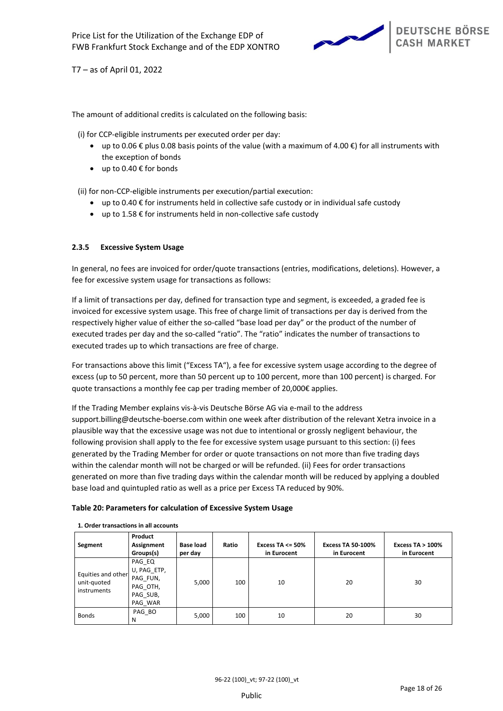

The amount of additional credits is calculated on the following basis:

(i) for CCP-eligible instruments per executed order per day:

- up to 0.06  $\epsilon$  plus 0.08 basis points of the value (with a maximum of 4.00  $\epsilon$ ) for all instruments with the exception of bonds
- up to 0.40  $\epsilon$  for bonds

(ii) for non-CCP-eligible instruments per execution/partial execution:

- up to 0.40  $\epsilon$  for instruments held in collective safe custody or in individual safe custody
- up to  $1.58 \notin$  for instruments held in non-collective safe custody

# **2.3.5 Excessive System Usage**

In general, no fees are invoiced for order/quote transactions (entries, modifications, deletions). However, a fee for excessive system usage for transactions as follows:

If a limit of transactions per day, defined for transaction type and segment, is exceeded, a graded fee is invoiced for excessive system usage. This free of charge limit of transactions per day is derived from the respectively higher value of either the so-called "base load per day" or the product of the number of executed trades per day and the so-called "ratio". The "ratio" indicates the number of transactions to executed trades up to which transactions are free of charge.

For transactions above this limit ("Excess TA"), a fee for excessive system usage according to the degree of excess (up to 50 percent, more than 50 percent up to 100 percent, more than 100 percent) is charged. For quote transactions a monthly fee cap per trading member of 20,000€ applies.

If the Trading Member explains vis-à-vis Deutsche Börse AG via e-mail to the address support.billing@deutsche-boerse.com within one week after distribution of the relevant Xetra invoice in a plausible way that the excessive usage was not due to intentional or grossly negligent behaviour, the following provision shall apply to the fee for excessive system usage pursuant to this section: (i) fees generated by the Trading Member for order or quote transactions on not more than five trading days within the calendar month will not be charged or will be refunded. (ii) Fees for order transactions generated on more than five trading days within the calendar month will be reduced by applying a doubled base load and quintupled ratio as well as a price per Excess TA reduced by 90%.

### **Table 20: Parameters for calculation of Excessive System Usage**

| Segment                                          | Product<br>Assignment<br>Groups(s)                                   | <b>Base load</b><br>per day | Ratio | Excess TA $\leq$ 50%<br>in Eurocent | <b>Excess TA 50-100%</b><br>in Eurocent | Excess $TA > 100\%$<br>in Eurocent |
|--------------------------------------------------|----------------------------------------------------------------------|-----------------------------|-------|-------------------------------------|-----------------------------------------|------------------------------------|
| Equities and other<br>unit-quoted<br>instruments | PAG EQ<br>U, PAG ETP,<br>PAG FUN,<br>PAG OTH,<br>PAG SUB,<br>PAG WAR | 5,000                       | 100   | 10                                  | 20                                      | 30                                 |
| <b>Bonds</b>                                     | PAG BO<br>N                                                          | 5,000                       | 100   | 10                                  | 20                                      | 30                                 |

**1. Order transactions in all accounts**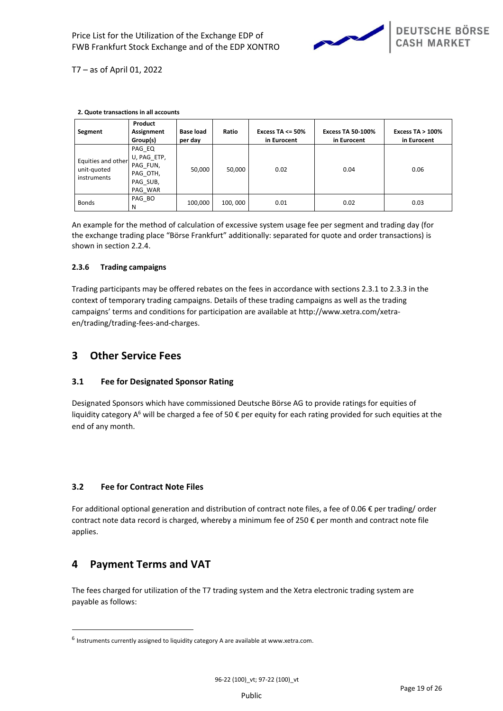

| 2. Quote transactions in an accounts             |                                                                      |                             |         |                                     |                                         |                                    |
|--------------------------------------------------|----------------------------------------------------------------------|-----------------------------|---------|-------------------------------------|-----------------------------------------|------------------------------------|
| Segment                                          | Product<br>Assignment<br>Group(s)                                    | <b>Base load</b><br>per day | Ratio   | Excess TA $\leq$ 50%<br>in Eurocent | <b>Excess TA 50-100%</b><br>in Eurocent | Excess $TA > 100\%$<br>in Eurocent |
| Equities and other<br>unit-quoted<br>instruments | PAG EQ<br>U, PAG ETP,<br>PAG FUN,<br>PAG OTH,<br>PAG SUB,<br>PAG WAR | 50,000                      | 50,000  | 0.02                                | 0.04                                    | 0.06                               |
| <b>Bonds</b>                                     | PAG BO<br>N                                                          | 100,000                     | 100,000 | 0.01                                | 0.02                                    | 0.03                               |

**2. Quote transactions in all accounts**

An example for the method of calculation of excessive system usage fee per segment and trading day (for the exchange trading place "Börse Frankfurt" additionally: separated for quote and order transactions) is shown in section 2.2.4.

# **2.3.6 Trading campaigns**

Trading participants may be offered rebates on the fees in accordance with sections [2.3.1](#page-14-0) t[o 2.3.3](#page-16-3) in the context of temporary trading campaigns. Details of these trading campaigns as well as the trading campaigns' terms and conditions for participation are available at http://www.xetra.com/xetraen/trading/trading-fees-and-charges.

# **3 Other Service Fees**

# **3.1 Fee for Designated Sponsor Rating**

Designated Sponsors which have commissioned Deutsche Börse AG to provide ratings for equities of liquidity category A<sup>6</sup> will be charged a fee of 50  $\epsilon$  per equity for each rating provided for such equities at the end of any month.

# <span id="page-18-0"></span>**3.2 Fee for Contract Note Files**

For additional optional generation and distribution of contract note files, a fee of 0.06 € per trading/ order contract note data record is charged, whereby a minimum fee of 250 € per month and contract note file applies.

# **4 Payment Terms and VAT**

The fees charged for utilization of the T7 trading system and the Xetra electronic trading system are payable as follows:

<sup>&</sup>lt;sup>6</sup> Instruments currently assigned to liquidity category A are available at www.xetra.com.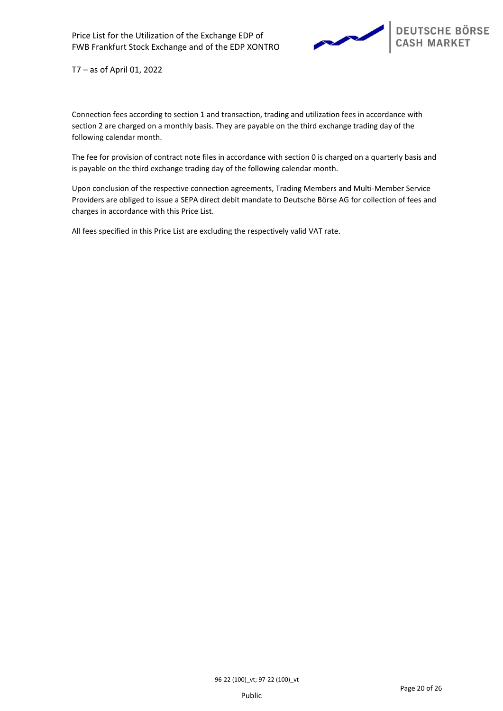

Connection fees according to section [1](#page-3-0) and transaction, trading and utilization fees in accordance with section [2](#page-6-0) are charged on a monthly basis. They are payable on the third exchange trading day of the following calendar month.

The fee for provision of contract note files in accordance with section [0](#page-18-0) is charged on a quarterly basis and is payable on the third exchange trading day of the following calendar month.

Upon conclusion of the respective connection agreements, Trading Members and Multi-Member Service Providers are obliged to issue a SEPA direct debit mandate to Deutsche Börse AG for collection of fees and charges in accordance with this Price List.

All fees specified in this Price List are excluding the respectively valid VAT rate.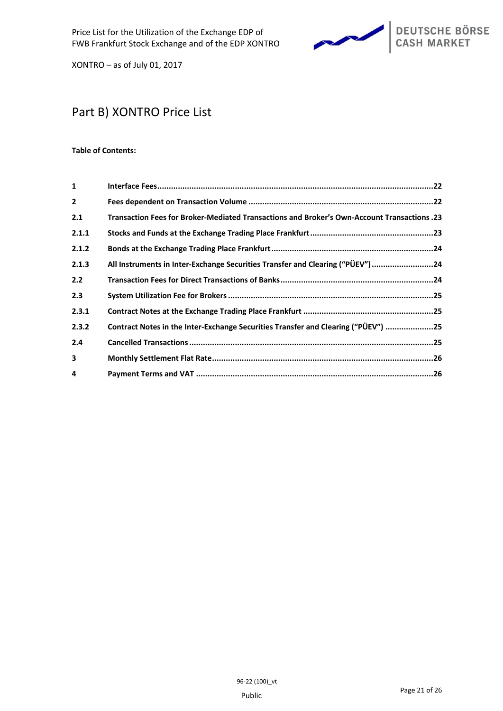

# Part B) XONTRO Price List

# **Table of Contents:**

| $\mathbf{1}$   |                                                                                             |
|----------------|---------------------------------------------------------------------------------------------|
| $\overline{2}$ |                                                                                             |
| 2.1            | 23. Transaction Fees for Broker-Mediated Transactions and Broker's Own-Account Transactions |
| 2.1.1          |                                                                                             |
| 2.1.2          |                                                                                             |
| 2.1.3          | All Instruments in Inter-Exchange Securities Transfer and Clearing ("PÜEV") 24              |
| 2.2            |                                                                                             |
| 2.3            |                                                                                             |
| 2.3.1          |                                                                                             |
| 2.3.2          | Contract Notes in the Inter-Exchange Securities Transfer and Clearing ("PÜEV") 25           |
| 2.4            |                                                                                             |
| 3              |                                                                                             |
| 4              |                                                                                             |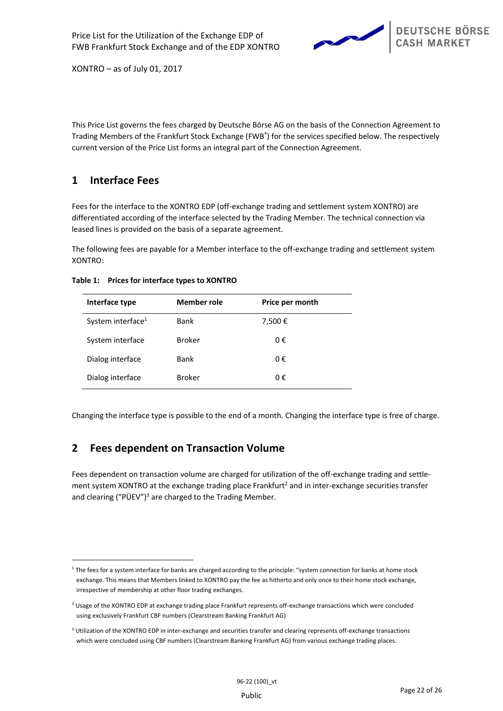

This Price List governs the fees charged by Deutsche Börse AG on the basis of the Connection Agreement to Trading Members of the Frankfurt Stock Exchange (FWB® ) for the services specified below. The respectively current version of the Price List forms an integral part of the Connection Agreement.

# **1 Interface Fees**

Fees for the interface to the XONTRO EDP (off-exchange trading and settlement system XONTRO) are differentiated according of the interface selected by the Trading Member. The technical connection via leased lines is provided on the basis of a separate agreement.

The following fees are payable for a Member interface to the off-exchange trading and settlement system XONTRO:

| Interface type                | <b>Member role</b> | Price per month |
|-------------------------------|--------------------|-----------------|
| System interface <sup>1</sup> | <b>Bank</b>        | 7,500€          |
| System interface              | <b>Broker</b>      | 0€              |
| Dialog interface              | <b>Bank</b>        | 0€              |
| Dialog interface              | <b>Broker</b>      | 0€              |
|                               |                    |                 |

**Table 1: Prices for interface types to XONTRO**

Changing the interface type is possible to the end of a month. Changing the interface type is free of charge.

# **2 Fees dependent on Transaction Volume**

Fees dependent on transaction volume are charged for utilization of the off-exchange trading and settlement system XONTRO at the exchange trading place Frankfurt<sup>2</sup> and in inter-exchange securities transfer and clearing ("PÜEV")<sup>3</sup> are charged to the Trading Member.

<sup>&</sup>lt;sup>1</sup> The fees for a system interface for banks are charged according to the principle: "system connection for banks at home stock exchange. This means that Members linked to XONTRO pay the fee as hitherto and only once to their home stock exchange, irrespective of membership at other floor trading exchanges.

<sup>&</sup>lt;sup>2</sup> Usage of the XONTRO EDP at exchange trading place Frankfurt represents off-exchange transactions which were concluded using exclusively Frankfurt CBF numbers (Clearstream Banking Frankfurt AG)

<sup>&</sup>lt;sup>3</sup> Utilization of the XONTRO EDP in inter-exchange and securities transfer and clearing represents off-exchange transactions which were concluded using CBF numbers (Clearstream Banking Frankfurt AG) from various exchange trading places.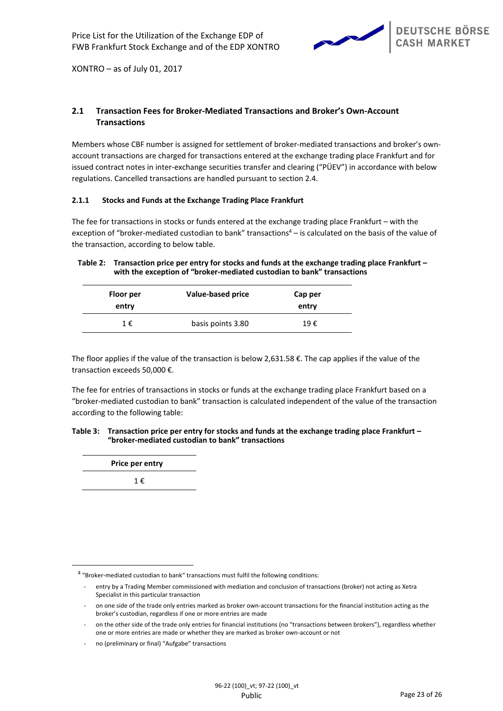

# **2.1 Transaction Fees for Broker-Mediated Transactions and Broker's Own-Account Transactions**

Members whose CBF number is assigned for settlement of broker-mediated transactions and broker's ownaccount transactions are charged for transactions entered at the exchange trading place Frankfurt and for issued contract notes in inter-exchange securities transfer and clearing ("PÜEV") in accordance with below regulations. Cancelled transactions are handled pursuant to section 2.4.

# **2.1.1 Stocks and Funds at the Exchange Trading Place Frankfurt**

The fee for transactions in stocks or funds entered at the exchange trading place Frankfurt – with the exception of "broker-mediated custodian to bank" transactions<sup>4</sup> – is calculated on the basis of the value of the transaction, according to below table.

# **Table 2: Transaction price per entry for stocks and funds at the exchange trading place Frankfurt – with the exception of "broker-mediated custodian to bank" transactions**

| Floor per<br>entry | Value-based price | Cap per<br>entry |
|--------------------|-------------------|------------------|
| 1€                 | basis points 3.80 | 19€              |

The floor applies if the value of the transaction is below 2,631.58  $\epsilon$ . The cap applies if the value of the transaction exceeds 50,000 €.

The fee for entries of transactions in stocks or funds at the exchange trading place Frankfurt based on a "broker-mediated custodian to bank" transaction is calculated independent of the value of the transaction according to the following table:

## **Table 3: Transaction price per entry for stocks and funds at the exchange trading place Frankfurt – "broker-mediated custodian to bank" transactions**

| Price per entry |  |
|-----------------|--|
| 1 €             |  |

<sup>&</sup>lt;sup>4</sup> "Broker-mediated custodian to bank" transactions must fulfil the following conditions:

entry by a Trading Member commissioned with mediation and conclusion of transactions (broker) not acting as Xetra Specialist in this particular transaction

<sup>-</sup> on one side of the trade only entries marked as broker own-account transactions for the financial institution acting as the broker's custodian, regardless if one or more entries are made

on the other side of the trade only entries for financial institutions (no "transactions between brokers"), regardless whether one or more entries are made or whether they are marked as broker own-account or not

no (preliminary or final) "Aufgabe" transactions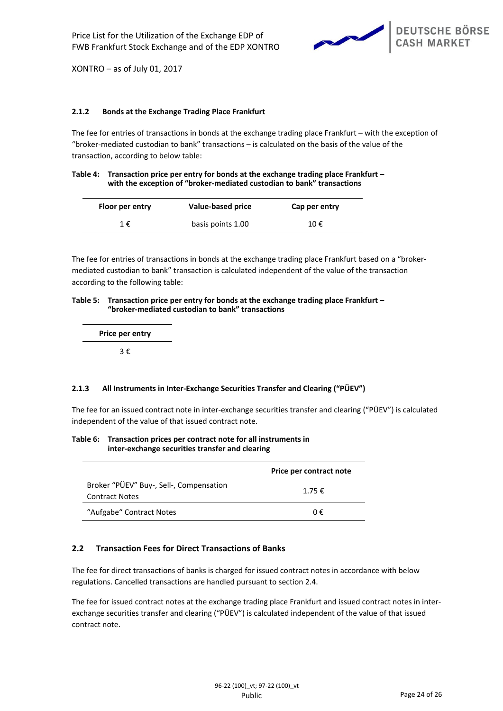

# **2.1.2 Bonds at the Exchange Trading Place Frankfurt**

The fee for entries of transactions in bonds at the exchange trading place Frankfurt – with the exception of "broker-mediated custodian to bank" transactions – is calculated on the basis of the value of the transaction, according to below table:

## **Table 4: Transaction price per entry for bonds at the exchange trading place Frankfurt – with the exception of "broker-mediated custodian to bank" transactions**

| Floor per entry | Value-based price | Cap per entry |
|-----------------|-------------------|---------------|
| 1€              | basis points 1.00 | 10€           |

The fee for entries of transactions in bonds at the exchange trading place Frankfurt based on a "brokermediated custodian to bank" transaction is calculated independent of the value of the transaction according to the following table:

### **Table 5: Transaction price per entry for bonds at the exchange trading place Frankfurt – "broker-mediated custodian to bank" transactions**

| Price per entry |  |
|-----------------|--|
| 3€              |  |

# **2.1.3 All Instruments in Inter-Exchange Securities Transfer and Clearing ("PÜEV")**

The fee for an issued contract note in inter-exchange securities transfer and clearing ("PÜEV") is calculated independent of the value of that issued contract note.

## **Table 6: Transaction prices per contract note for all instruments in inter-exchange securities transfer and clearing**

|                                                                  | Price per contract note |
|------------------------------------------------------------------|-------------------------|
| Broker "PÜEV" Buy-, Sell-, Compensation<br><b>Contract Notes</b> | 1.75 $\epsilon$         |
| "Aufgabe" Contract Notes                                         | ∩€                      |

# **2.2 Transaction Fees for Direct Transactions of Banks**

The fee for direct transactions of banks is charged for issued contract notes in accordance with below regulations. Cancelled transactions are handled pursuant to section 2.4.

The fee for issued contract notes at the exchange trading place Frankfurt and issued contract notes in interexchange securities transfer and clearing ("PÜEV") is calculated independent of the value of that issued contract note.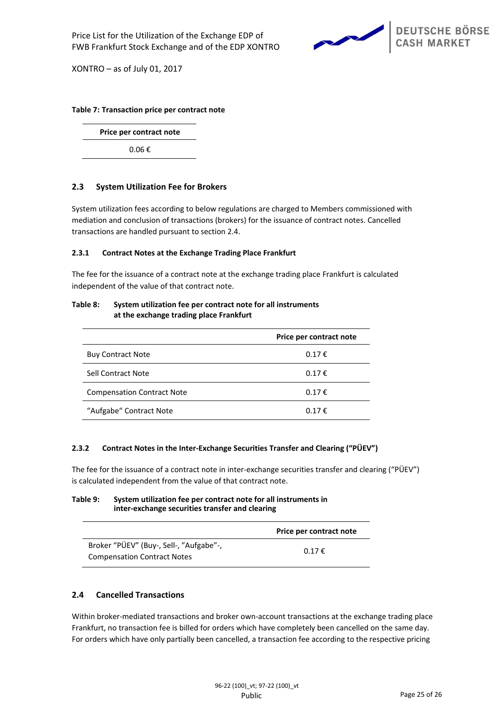

# **Table 7: Transaction price per contract note**

**Price per contract note**

0.06 €

# **2.3 System Utilization Fee for Brokers**

System utilization fees according to below regulations are charged to Members commissioned with mediation and conclusion of transactions (brokers) for the issuance of contract notes. Cancelled transactions are handled pursuant to section 2.4.

# **2.3.1 Contract Notes at the Exchange Trading Place Frankfurt**

The fee for the issuance of a contract note at the exchange trading place Frankfurt is calculated independent of the value of that contract note.

# **Table 8: System utilization fee per contract note for all instruments at the exchange trading place Frankfurt**

|                                   | Price per contract note |
|-----------------------------------|-------------------------|
| <b>Buy Contract Note</b>          | 0.17€                   |
| Sell Contract Note                | 0.17€                   |
| <b>Compensation Contract Note</b> | 0.17€                   |
| "Aufgabe" Contract Note           | 0.17€                   |

# **2.3.2 Contract Notes in the Inter-Exchange Securities Transfer and Clearing ("PÜEV")**

The fee for the issuance of a contract note in inter-exchange securities transfer and clearing ("PÜEV") is calculated independent from the value of that contract note.

# **Table 9: System utilization fee per contract note for all instruments in inter-exchange securities transfer and clearing**

|                                                                               | Price per contract note |
|-------------------------------------------------------------------------------|-------------------------|
| Broker "PÜEV" (Buy-, Sell-, "Aufgabe"-,<br><b>Compensation Contract Notes</b> | 0.17 f                  |
|                                                                               |                         |

# **2.4 Cancelled Transactions**

Within broker-mediated transactions and broker own-account transactions at the exchange trading place Frankfurt, no transaction fee is billed for orders which have completely been cancelled on the same day. For orders which have only partially been cancelled, a transaction fee according to the respective pricing